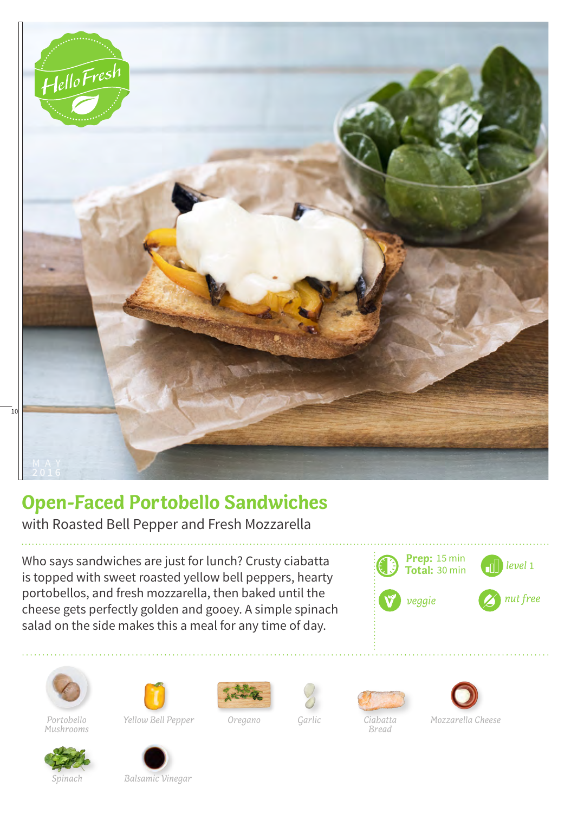

## **Open-Faced Portobello Sandwiches**

with Roasted Bell Pepper and Fresh Mozzarella

Who says sandwiches are just for lunch? Crusty ciabatta is topped with sweet roasted yellow bell peppers, hearty portobellos, and fresh mozzarella, then baked until the cheese gets perfectly golden and gooey. A simple spinach salad on the side makes this a meal for any time of day.















*Bread*



*Mushrooms*

*Spinach Balsamic Vinegar*

*Portobello Yellow Bell Pepper Oregano*

*Garlic*